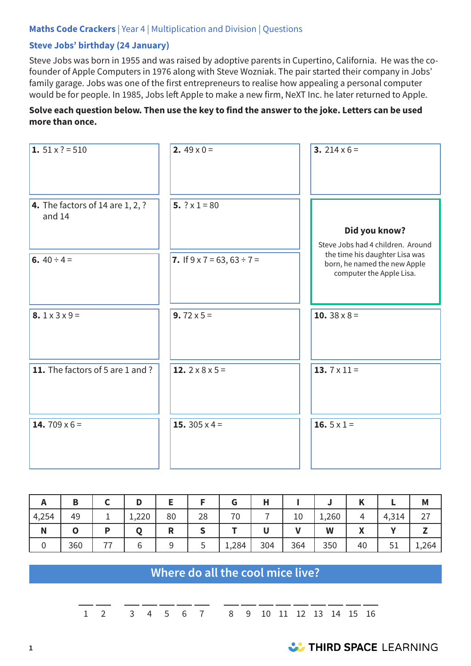#### **Maths Code Crackers** | Year 4 | Multiplication and Division | Questions

#### **Steve Jobs' birthday (24 January)**

Steve Jobs was born in 1955 and was raised by adoptive parents in Cupertino, California. He was the cofounder of Apple Computers in 1976 along with Steve Wozniak. The pair started their company in Jobs' family garage. Jobs was one of the first entrepreneurs to realise how appealing a personal computer would be for people. In 1985, Jobs left Apple to make a new firm, NeXT Inc. he later returned to Apple.

#### **Solve each question below. Then use the key to find the answer to the joke. Letters can be used more than once.**

| 1. $51 \times ? = 510$                       | 2. $49 \times 0 =$                      | 3. 214 $\times$ 6 =                                                                        |
|----------------------------------------------|-----------------------------------------|--------------------------------------------------------------------------------------------|
| 4. The factors of 14 are $1, 2, ?$<br>and 14 | 5. $? \times 1 = 80$                    | Did you know?<br>Steve Jobs had 4 children. Around                                         |
| 6. $40 \div 4 =$                             | 7. If $9 \times 7 = 63$ , $63 \div 7 =$ | the time his daughter Lisa was<br>born, he named the new Apple<br>computer the Apple Lisa. |
| 8. $1 \times 3 \times 9 =$                   | 9. $72 \times 5 =$                      | <b>10.</b> $38 \times 8 =$                                                                 |
| 11. The factors of 5 are 1 and ?             | 12. $2 \times 8 \times 5 =$             | 13. $7 \times 11 =$                                                                        |
| 14. 709 $\times$ 6 =                         | 15. $305 \times 4 =$                    | 16. $5 \times 1 =$                                                                         |

|       | Β   | D     |    |    | u     |     |     |       | n  |       | M     |
|-------|-----|-------|----|----|-------|-----|-----|-------|----|-------|-------|
| 4,254 | 49  | 1,220 | 80 | 28 | 70    |     | 10  | 1,260 | 4  | 4,314 | ∠⊣    |
| N     |     |       | R  |    |       |     |     | W     | A  |       |       |
| ν     | 360 |       |    | ٮ  | 1,284 | 304 | 364 | 350   | 40 | 51    | 1,264 |

# **Where do all the cool mice live?**

1 2 3 4 5 6 7 8 9 10 11 12 13 14 15 16